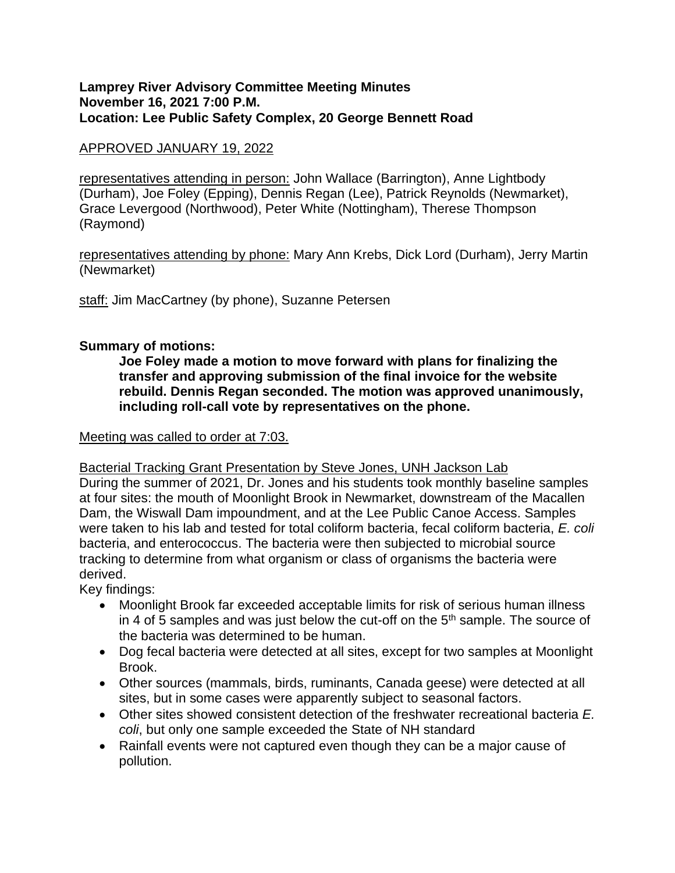## **Lamprey River Advisory Committee Meeting Minutes November 16, 2021 7:00 P.M. Location: Lee Public Safety Complex, 20 George Bennett Road**

# APPROVED JANUARY 19, 2022

representatives attending in person: John Wallace (Barrington), Anne Lightbody (Durham), Joe Foley (Epping), Dennis Regan (Lee), Patrick Reynolds (Newmarket), Grace Levergood (Northwood), Peter White (Nottingham), Therese Thompson (Raymond)

representatives attending by phone: Mary Ann Krebs, Dick Lord (Durham), Jerry Martin (Newmarket)

staff: Jim MacCartney (by phone), Suzanne Petersen

# **Summary of motions:**

**Joe Foley made a motion to move forward with plans for finalizing the transfer and approving submission of the final invoice for the website rebuild. Dennis Regan seconded. The motion was approved unanimously, including roll-call vote by representatives on the phone.**

# Meeting was called to order at 7:03.

# Bacterial Tracking Grant Presentation by Steve Jones, UNH Jackson Lab

During the summer of 2021, Dr. Jones and his students took monthly baseline samples at four sites: the mouth of Moonlight Brook in Newmarket, downstream of the Macallen Dam, the Wiswall Dam impoundment, and at the Lee Public Canoe Access. Samples were taken to his lab and tested for total coliform bacteria, fecal coliform bacteria, *E. coli* bacteria, and enterococcus. The bacteria were then subjected to microbial source tracking to determine from what organism or class of organisms the bacteria were derived.

Key findings:

- Moonlight Brook far exceeded acceptable limits for risk of serious human illness in 4 of 5 samples and was just below the cut-off on the  $5<sup>th</sup>$  sample. The source of the bacteria was determined to be human.
- Dog fecal bacteria were detected at all sites, except for two samples at Moonlight Brook.
- Other sources (mammals, birds, ruminants, Canada geese) were detected at all sites, but in some cases were apparently subject to seasonal factors.
- Other sites showed consistent detection of the freshwater recreational bacteria *E. coli*, but only one sample exceeded the State of NH standard
- Rainfall events were not captured even though they can be a major cause of pollution.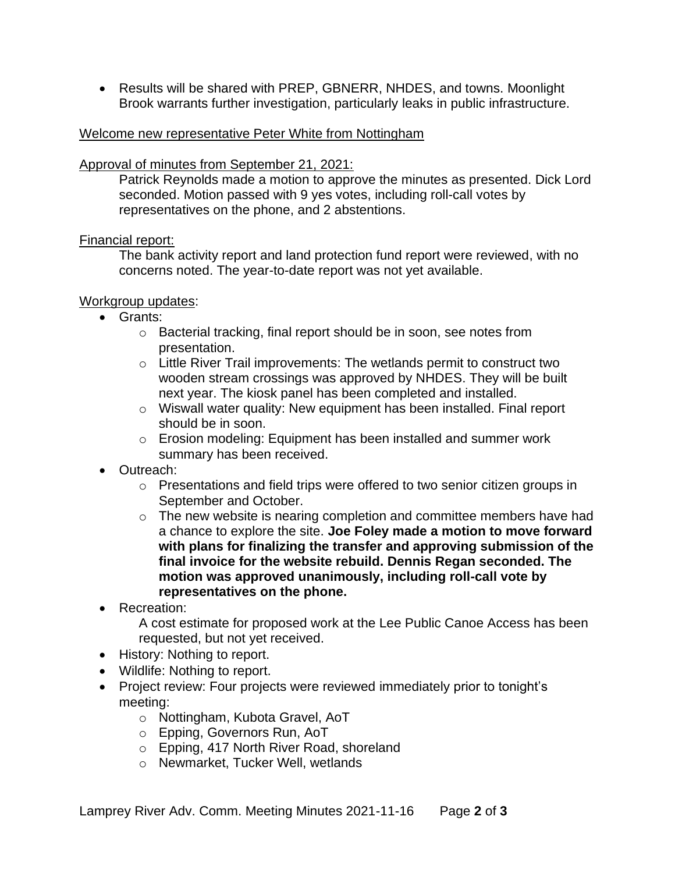• Results will be shared with PREP, GBNERR, NHDES, and towns. Moonlight Brook warrants further investigation, particularly leaks in public infrastructure.

## Welcome new representative Peter White from Nottingham

## Approval of minutes from September 21, 2021:

Patrick Reynolds made a motion to approve the minutes as presented. Dick Lord seconded. Motion passed with 9 yes votes, including roll-call votes by representatives on the phone, and 2 abstentions.

## Financial report:

The bank activity report and land protection fund report were reviewed, with no concerns noted. The year-to-date report was not yet available.

## Workgroup updates:

- Grants:
	- o Bacterial tracking, final report should be in soon, see notes from presentation.
	- o Little River Trail improvements: The wetlands permit to construct two wooden stream crossings was approved by NHDES. They will be built next year. The kiosk panel has been completed and installed.
	- o Wiswall water quality: New equipment has been installed. Final report should be in soon.
	- o Erosion modeling: Equipment has been installed and summer work summary has been received.
- Outreach:
	- o Presentations and field trips were offered to two senior citizen groups in September and October.
	- o The new website is nearing completion and committee members have had a chance to explore the site. **Joe Foley made a motion to move forward with plans for finalizing the transfer and approving submission of the final invoice for the website rebuild. Dennis Regan seconded. The motion was approved unanimously, including roll-call vote by representatives on the phone.**
- Recreation:

A cost estimate for proposed work at the Lee Public Canoe Access has been requested, but not yet received.

- History: Nothing to report.
- Wildlife: Nothing to report.
- Project review: Four projects were reviewed immediately prior to tonight's meeting:
	- o Nottingham, Kubota Gravel, AoT
	- o Epping, Governors Run, AoT
	- o Epping, 417 North River Road, shoreland
	- o Newmarket, Tucker Well, wetlands